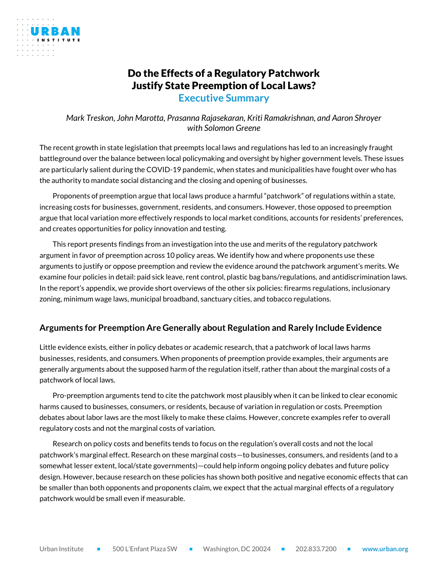

## Do the Effects of a Regulatory Patchwork Justify State Preemption of Local Laws?

**Executive Summary**

*Mark Treskon, John Marotta, Prasanna Rajasekaran, Kriti Ramakrishnan, and Aaron Shroyer with Solomon Greene*

The recent growth in state legislation that preempts local laws and regulations has led to an increasingly fraught battleground over the balance between local policymaking and oversight by higher government levels. These issues are particularly salient during the COVID-19 pandemic, when states and municipalities have fought over who has the authority to mandate social distancing and the closing and opening of businesses.

Proponents of preemption argue that local laws produce a harmful "patchwork" of regulations within a state, increasing costs for businesses, government, residents, and consumers. However, those opposed to preemption argue that local variation more effectively responds to local market conditions, accounts for residents' preferences, and creates opportunities for policy innovation and testing.

This report presents findings from an investigation into the use and merits of the regulatory patchwork argument in favor of preemption across 10 policy areas. We identify how and where proponents use these arguments to justify or oppose preemption and review the evidence around the patchwork argument's merits. We examine four policies in detail: paid sick leave, rent control, plastic bag bans/regulations, and antidiscrimination laws. In the report's appendix, we provide short overviews of the other six policies: firearms regulations, inclusionary zoning, minimum wage laws, municipal broadband, sanctuary cities, and tobacco regulations.

## **Arguments for Preemption Are Generally about Regulation and Rarely Include Evidence**

Little evidence exists, either in policy debates or academic research, that a patchwork of local laws harms businesses, residents, and consumers. When proponents of preemption provide examples, their arguments are generally arguments about the supposed harm of the regulation itself, rather than about the marginal costs of a patchwork of local laws.

Pro-preemption arguments tend to cite the patchwork most plausibly when it can be linked to clear economic harms caused to businesses, consumers, or residents, because of variation in regulation or costs. Preemption debates about labor laws are the most likely to make these claims. However, concrete examples refer to overall regulatory costs and not the marginal costs of variation.

Research on policy costs and benefits tends to focus on the regulation's overall costs and not the local patchwork's marginal effect. Research on these marginal costs—to businesses, consumers, and residents (and to a somewhat lesser extent, local/state governments)—could help inform ongoing policy debates and future policy design. However, because research on these policies has shown both positive and negative economic effects that can be smaller than both opponents and proponents claim, we expect that the actual marginal effects of a regulatory patchwork would be small even if measurable.